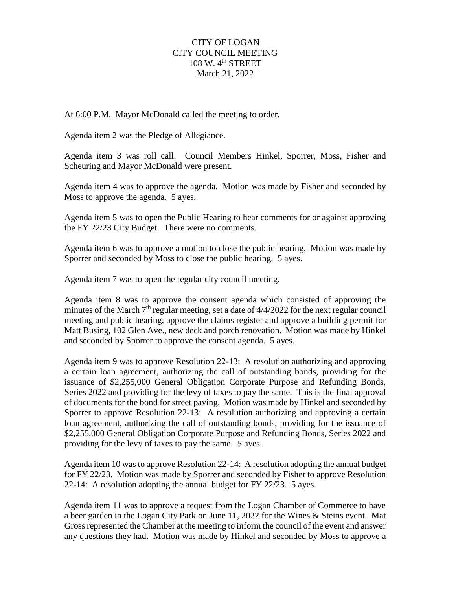## CITY OF LOGAN CITY COUNCIL MEETING  $108 \text{ W}$ .  $4^{\text{th}}$  STREET March 21, 2022

At 6:00 P.M. Mayor McDonald called the meeting to order.

Agenda item 2 was the Pledge of Allegiance.

Agenda item 3 was roll call. Council Members Hinkel, Sporrer, Moss, Fisher and Scheuring and Mayor McDonald were present.

Agenda item 4 was to approve the agenda. Motion was made by Fisher and seconded by Moss to approve the agenda. 5 ayes.

Agenda item 5 was to open the Public Hearing to hear comments for or against approving the FY 22/23 City Budget. There were no comments.

Agenda item 6 was to approve a motion to close the public hearing. Motion was made by Sporrer and seconded by Moss to close the public hearing. 5 ayes.

Agenda item 7 was to open the regular city council meeting.

Agenda item 8 was to approve the consent agenda which consisted of approving the minutes of the March  $7<sup>th</sup>$  regular meeting, set a date of  $4/4/2022$  for the next regular council meeting and public hearing, approve the claims register and approve a building permit for Matt Busing, 102 Glen Ave., new deck and porch renovation. Motion was made by Hinkel and seconded by Sporrer to approve the consent agenda. 5 ayes.

Agenda item 9 was to approve Resolution 22-13: A resolution authorizing and approving a certain loan agreement, authorizing the call of outstanding bonds, providing for the issuance of \$2,255,000 General Obligation Corporate Purpose and Refunding Bonds, Series 2022 and providing for the levy of taxes to pay the same. This is the final approval of documents for the bond for street paving. Motion was made by Hinkel and seconded by Sporrer to approve Resolution 22-13: A resolution authorizing and approving a certain loan agreement, authorizing the call of outstanding bonds, providing for the issuance of \$2,255,000 General Obligation Corporate Purpose and Refunding Bonds, Series 2022 and providing for the levy of taxes to pay the same. 5 ayes.

Agenda item 10 was to approve Resolution 22-14: A resolution adopting the annual budget for FY 22/23. Motion was made by Sporrer and seconded by Fisher to approve Resolution 22-14: A resolution adopting the annual budget for FY 22/23. 5 ayes.

Agenda item 11 was to approve a request from the Logan Chamber of Commerce to have a beer garden in the Logan City Park on June 11, 2022 for the Wines & Steins event. Mat Gross represented the Chamber at the meeting to inform the council of the event and answer any questions they had. Motion was made by Hinkel and seconded by Moss to approve a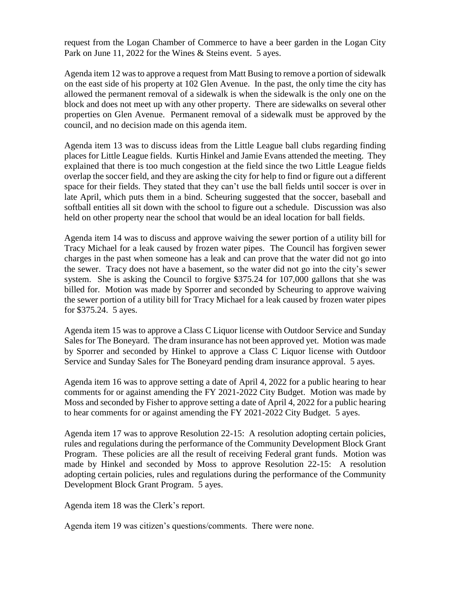request from the Logan Chamber of Commerce to have a beer garden in the Logan City Park on June 11, 2022 for the Wines & Steins event. 5 ayes.

Agenda item 12 was to approve a request from Matt Busing to remove a portion of sidewalk on the east side of his property at 102 Glen Avenue. In the past, the only time the city has allowed the permanent removal of a sidewalk is when the sidewalk is the only one on the block and does not meet up with any other property. There are sidewalks on several other properties on Glen Avenue. Permanent removal of a sidewalk must be approved by the council, and no decision made on this agenda item.

Agenda item 13 was to discuss ideas from the Little League ball clubs regarding finding places for Little League fields. Kurtis Hinkel and Jamie Evans attended the meeting. They explained that there is too much congestion at the field since the two Little League fields overlap the soccer field, and they are asking the city for help to find or figure out a different space for their fields. They stated that they can't use the ball fields until soccer is over in late April, which puts them in a bind. Scheuring suggested that the soccer, baseball and softball entities all sit down with the school to figure out a schedule. Discussion was also held on other property near the school that would be an ideal location for ball fields.

Agenda item 14 was to discuss and approve waiving the sewer portion of a utility bill for Tracy Michael for a leak caused by frozen water pipes. The Council has forgiven sewer charges in the past when someone has a leak and can prove that the water did not go into the sewer. Tracy does not have a basement, so the water did not go into the city's sewer system. She is asking the Council to forgive \$375.24 for 107,000 gallons that she was billed for. Motion was made by Sporrer and seconded by Scheuring to approve waiving the sewer portion of a utility bill for Tracy Michael for a leak caused by frozen water pipes for \$375.24. 5 ayes.

Agenda item 15 was to approve a Class C Liquor license with Outdoor Service and Sunday Sales for The Boneyard. The dram insurance has not been approved yet. Motion was made by Sporrer and seconded by Hinkel to approve a Class C Liquor license with Outdoor Service and Sunday Sales for The Boneyard pending dram insurance approval. 5 ayes.

Agenda item 16 was to approve setting a date of April 4, 2022 for a public hearing to hear comments for or against amending the FY 2021-2022 City Budget. Motion was made by Moss and seconded by Fisher to approve setting a date of April 4, 2022 for a public hearing to hear comments for or against amending the FY 2021-2022 City Budget. 5 ayes.

Agenda item 17 was to approve Resolution 22-15: A resolution adopting certain policies, rules and regulations during the performance of the Community Development Block Grant Program. These policies are all the result of receiving Federal grant funds. Motion was made by Hinkel and seconded by Moss to approve Resolution 22-15: A resolution adopting certain policies, rules and regulations during the performance of the Community Development Block Grant Program. 5 ayes.

Agenda item 18 was the Clerk's report.

Agenda item 19 was citizen's questions/comments. There were none.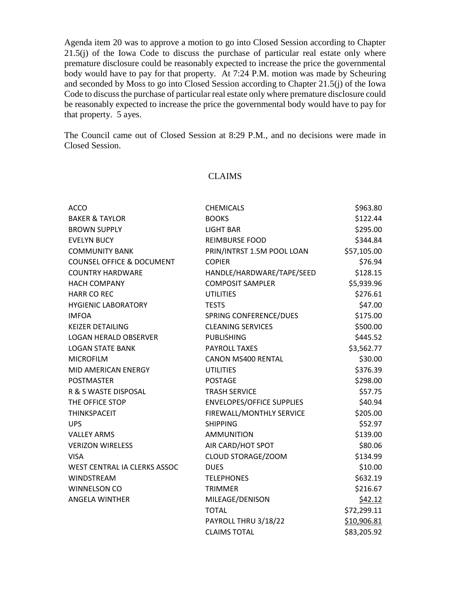Agenda item 20 was to approve a motion to go into Closed Session according to Chapter 21.5(j) of the Iowa Code to discuss the purchase of particular real estate only where premature disclosure could be reasonably expected to increase the price the governmental body would have to pay for that property. At 7:24 P.M. motion was made by Scheuring and seconded by Moss to go into Closed Session according to Chapter 21.5(j) of the Iowa Code to discuss the purchase of particular real estate only where premature disclosure could be reasonably expected to increase the price the governmental body would have to pay for that property. 5 ayes.

The Council came out of Closed Session at 8:29 P.M., and no decisions were made in Closed Session.

## CLAIMS

| <b>ACCO</b>                          | <b>CHEMICALS</b>                 | \$963.80    |
|--------------------------------------|----------------------------------|-------------|
| <b>BAKER &amp; TAYLOR</b>            | <b>BOOKS</b>                     | \$122.44    |
| <b>BROWN SUPPLY</b>                  | <b>LIGHT BAR</b>                 | \$295.00    |
| <b>EVELYN BUCY</b>                   | <b>REIMBURSE FOOD</b>            | \$344.84    |
| <b>COMMUNITY BANK</b>                | PRIN/INTRST 1.5M POOL LOAN       | \$57,105.00 |
| <b>COUNSEL OFFICE &amp; DOCUMENT</b> | <b>COPIER</b>                    | \$76.94     |
| <b>COUNTRY HARDWARE</b>              | HANDLE/HARDWARE/TAPE/SEED        | \$128.15    |
| <b>HACH COMPANY</b>                  | <b>COMPOSIT SAMPLER</b>          | \$5,939.96  |
| <b>HARR CO REC</b>                   | <b>UTILITIES</b>                 | \$276.61    |
| <b>HYGIENIC LABORATORY</b>           | <b>TESTS</b>                     | \$47.00     |
| <b>IMFOA</b>                         | SPRING CONFERENCE/DUES           | \$175.00    |
| <b>KEIZER DETAILING</b>              | <b>CLEANING SERVICES</b>         | \$500.00    |
| <b>LOGAN HERALD OBSERVER</b>         | <b>PUBLISHING</b>                | \$445.52    |
| <b>LOGAN STATE BANK</b>              | <b>PAYROLL TAXES</b>             | \$3,562.77  |
| <b>MICROFILM</b>                     | <b>CANON MS400 RENTAL</b>        | \$30.00     |
| MID AMERICAN ENERGY                  | <b>UTILITIES</b>                 | \$376.39    |
| <b>POSTMASTER</b>                    | <b>POSTAGE</b>                   | \$298.00    |
| R & S WASTE DISPOSAL                 | <b>TRASH SERVICE</b>             | \$57.75     |
| THE OFFICE STOP                      | <b>ENVELOPES/OFFICE SUPPLIES</b> | \$40.94     |
| <b>THINKSPACEIT</b>                  | FIREWALL/MONTHLY SERVICE         | \$205.00    |
| <b>UPS</b>                           | <b>SHIPPING</b>                  | \$52.97     |
| <b>VALLEY ARMS</b>                   | <b>AMMUNITION</b>                | \$139.00    |
| <b>VERIZON WIRELESS</b>              | AIR CARD/HOT SPOT                | \$80.06     |
| <b>VISA</b>                          | CLOUD STORAGE/ZOOM               | \$134.99    |
| WEST CENTRAL IA CLERKS ASSOC         | <b>DUES</b>                      | \$10.00     |
| <b>WINDSTREAM</b>                    | <b>TELEPHONES</b>                | \$632.19    |
| <b>WINNELSON CO</b>                  | <b>TRIMMER</b>                   | \$216.67    |
| <b>ANGELA WINTHER</b>                | MILEAGE/DENISON                  | \$42.12     |
|                                      | <b>TOTAL</b>                     | \$72,299.11 |
|                                      | PAYROLL THRU 3/18/22             | \$10,906.81 |
|                                      | <b>CLAIMS TOTAL</b>              | \$83,205.92 |